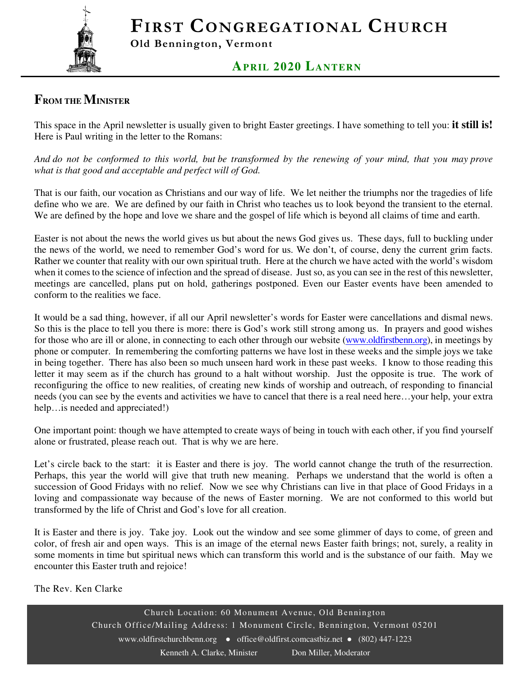FIRST CONGREGATIONAL CHURCH



Old Bennington, Vermont

### **AP RIL 2020 LANTERN**

## **FROM THE MINISTER**

This space in the April newsletter is usually given to bright Easter greetings. I have something to tell you: **it still is!**  Here is Paul writing in the letter to the Romans:

*And do not be conformed to this world, but be transformed by the renewing of your mind, that you may prove what is that good and acceptable and perfect will of God.* 

That is our faith, our vocation as Christians and our way of life. We let neither the triumphs nor the tragedies of life define who we are. We are defined by our faith in Christ who teaches us to look beyond the transient to the eternal. We are defined by the hope and love we share and the gospel of life which is beyond all claims of time and earth.

Easter is not about the news the world gives us but about the news God gives us. These days, full to buckling under the news of the world, we need to remember God's word for us. We don't, of course, deny the current grim facts. Rather we counter that reality with our own spiritual truth. Here at the church we have acted with the world's wisdom when it comes to the science of infection and the spread of disease. Just so, as you can see in the rest of this newsletter, meetings are cancelled, plans put on hold, gatherings postponed. Even our Easter events have been amended to conform to the realities we face.

It would be a sad thing, however, if all our April newsletter's words for Easter were cancellations and dismal news. So this is the place to tell you there is more: there is God's work still strong among us. In prayers and good wishes for those who are ill or alone, in connecting to each other through our website (www.oldfirstbenn.org), in meetings by phone or computer. In remembering the comforting patterns we have lost in these weeks and the simple joys we take in being together. There has also been so much unseen hard work in these past weeks. I know to those reading this letter it may seem as if the church has ground to a halt without worship. Just the opposite is true. The work of reconfiguring the office to new realities, of creating new kinds of worship and outreach, of responding to financial needs (you can see by the events and activities we have to cancel that there is a real need here…your help, your extra help…is needed and appreciated!)

One important point: though we have attempted to create ways of being in touch with each other, if you find yourself alone or frustrated, please reach out. That is why we are here.

Let's circle back to the start: it is Easter and there is joy. The world cannot change the truth of the resurrection. Perhaps, this year the world will give that truth new meaning. Perhaps we understand that the world is often a succession of Good Fridays with no relief. Now we see why Christians can live in that place of Good Fridays in a loving and compassionate way because of the news of Easter morning. We are not conformed to this world but transformed by the life of Christ and God's love for all creation.

It is Easter and there is joy. Take joy. Look out the window and see some glimmer of days to come, of green and color, of fresh air and open ways. This is an image of the eternal news Easter faith brings; not, surely, a reality in some moments in time but spiritual news which can transform this world and is the substance of our faith. May we encounter this Easter truth and rejoice!

The Rev. Ken Clarke

Church Location: 60 Monument Avenue, Old Bennington Church Office/Mailing Address: 1 Monument Circle, Bennington, Vermont 05201 www.oldfirstchurchbenn.org • office@oldfirst.comcastbiz.net • (802) 447-1223 Kenneth A. Clarke, Minister Don Miller, Moderator